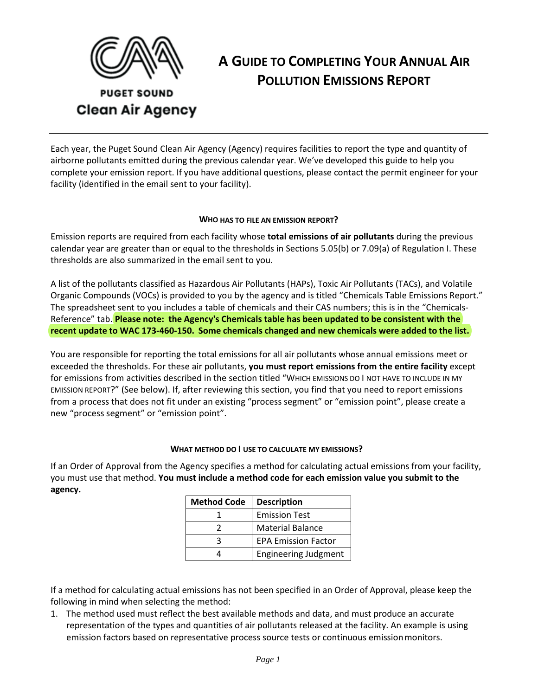

# **A GUIDE TO COMPLETING YOUR ANNUAL AIR POLLUTION EMISSIONS REPORT**

**PUGET SOUND Clean Air Agency** 

Each year, the Puget Sound Clean Air Agency (Agency) requires facilities to report the type and quantity of airborne pollutants emitted during the previous calendar year. We've developed this guide to help you complete your emission report. If you have additional questions, please contact the permit engineer for your facility (identified in the email sent to your facility).

### **WHO HAS TO FILE AN EMISSION REPORT?**

Emission reports are required from each facility whose **total emissions of air pollutants** during the previous calendar year are greater than or equal to the thresholds in Sections 5.05(b) or 7.09(a) of Regulation I. These thresholds are also summarized in the email sent to you.

A list of the pollutants classified as Hazardous Air Pollutants (HAPs), Toxic Air Pollutants (TACs), and Volatile Organic Compounds (VOCs) is provided to you by the agency and is titled "Chemicals Table Emissions Report." The spreadsheet sent to you includes a table of chemicals and their CAS numbers; this is in the "Chemicals-Reference" tab. **Please note: the Agency's Chemicals table has been updated to be consistent with the recent update to WAC 173-460-150. Some chemicals changed and new chemicals were added to the list.**

You are responsible for reporting the total emissions for all air pollutants whose annual emissions meet or exceeded the thresholds. For these air pollutants, **you must report emissions from the entire facility** except for emissions from activities described in the section titled "WHICH EMISSIONS DO I NOT HAVE TO INCLUDE IN MY EMISSION REPORT?" (See below). If, after reviewing this section, you find that you need to report emissions from a process that does not fit under an existing "process segment" or "emission point", please create a new "process segment" or "emission point".

### **WHAT METHOD DO I USE TO CALCULATE MY EMISSIONS?**

If an Order of Approval from the Agency specifies a method for calculating actual emissions from your facility, you must use that method. **You must include a method code for each emission value you submit to the agency.** 

| <b>Method Code</b> | <b>Description</b>          |
|--------------------|-----------------------------|
|                    | <b>Emission Test</b>        |
|                    | <b>Material Balance</b>     |
|                    | <b>EPA Emission Factor</b>  |
|                    | <b>Engineering Judgment</b> |

If a method for calculating actual emissions has not been specified in an Order of Approval, please keep the following in mind when selecting the method:

1. The method used must reflect the best available methods and data, and must produce an accurate representation of the types and quantities of air pollutants released at the facility. An example is using emission factors based on representative process source tests or continuous emissionmonitors.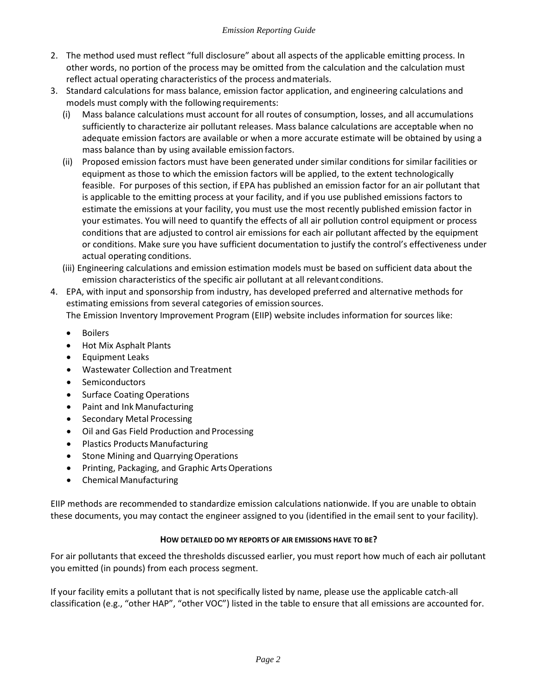- 2. The method used must reflect "full disclosure" about all aspects of the applicable emitting process. In other words, no portion of the process may be omitted from the calculation and the calculation must reflect actual operating characteristics of the process andmaterials.
- 3. Standard calculations for mass balance, emission factor application, and engineering calculations and models must comply with the following requirements:
	- (i) Mass balance calculations must account for all routes of consumption, losses, and all accumulations sufficiently to characterize air pollutant releases. Mass balance calculations are acceptable when no adequate emission factors are available or when a more accurate estimate will be obtained by using a mass balance than by using available emission factors.
	- (ii) Proposed emission factors must have been generated under similar conditions for similar facilities or equipment as those to which the emission factors will be applied, to the extent technologically feasible. For purposes of this section, if EPA has published an emission factor for an air pollutant that is applicable to the emitting process at your facility, and if you use published emissions factors to estimate the emissions at your facility, you must use the most recently published emission factor in your estimates. You will need to quantify the effects of all air pollution control equipment or process conditions that are adjusted to control air emissions for each air pollutant affected by the equipment or conditions. Make sure you have sufficient documentation to justify the control's effectiveness under actual operating conditions.
	- (iii) Engineering calculations and emission estimation models must be based on sufficient data about the emission characteristics of the specific air pollutant at all relevantconditions.
- 4. EPA, with input and sponsorship from industry, has developed preferred and alternative methods for estimating emissions from several categories of emission sources.

The Emission Inventory Improvement Program (EIIP) website includes information for sources like:

- Boilers
- Hot Mix Asphalt Plants
- Equipment Leaks
- Wastewater Collection and Treatment
- Semiconductors
- Surface Coating Operations
- Paint and Ink Manufacturing
- Secondary Metal Processing
- Oil and Gas Field Production and Processing
- Plastics Products Manufacturing
- Stone Mining and Quarrying Operations
- Printing, Packaging, and Graphic ArtsOperations
- Chemical Manufacturing

EIIP methods are recommended to standardize emission calculations nationwide. If you are unable to obtain these documents, you may contact the engineer assigned to you (identified in the email sent to your facility).

### **HOW DETAILED DO MY REPORTS OF AIR EMISSIONS HAVE TO BE?**

For air pollutants that exceed the thresholds discussed earlier, you must report how much of each air pollutant you emitted (in pounds) from each process segment.

If your facility emits a pollutant that is not specifically listed by name, please use the applicable catch-all classification (e.g., "other HAP", "other VOC") listed in the table to ensure that all emissions are accounted for.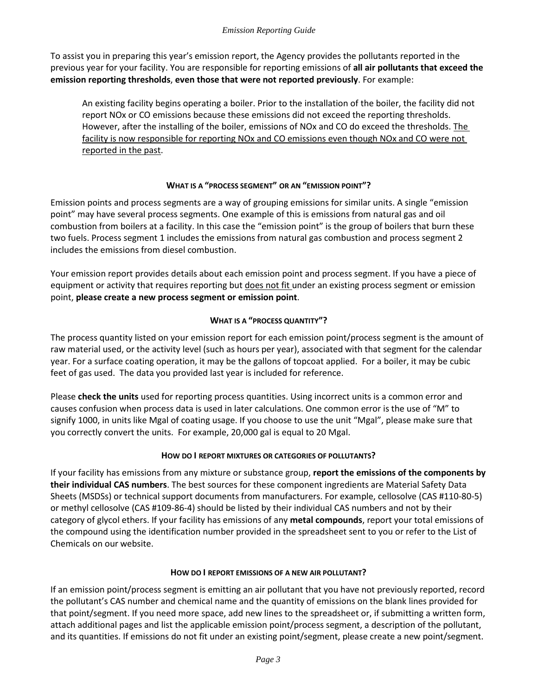#### *Emission Reporting Guide*

To assist you in preparing this year's emission report, the Agency provides the pollutants reported in the previous year for your facility. You are responsible for reporting emissions of **all air pollutants that exceed the emission reporting thresholds**, **even those that were not reported previously**. For example:

An existing facility begins operating a boiler. Prior to the installation of the boiler, the facility did not report NOx or CO emissions because these emissions did not exceed the reporting thresholds. However, after the installing of the boiler, emissions of NOx and CO do exceed the thresholds. The facility is now responsible for reporting NOx and CO emissions even though NOx and CO were not reported in the past.

## **WHAT IS A "PROCESS SEGMENT" OR AN "EMISSION POINT"?**

Emission points and process segments are a way of grouping emissions for similar units. A single "emission point" may have several process segments. One example of this is emissions from natural gas and oil combustion from boilers at a facility. In this case the "emission point" is the group of boilers that burn these two fuels. Process segment 1 includes the emissions from natural gas combustion and process segment 2 includes the emissions from diesel combustion.

Your emission report provides details about each emission point and process segment. If you have a piece of equipment or activity that requires reporting but does not fit under an existing process segment or emission point, **please create a new process segment or emission point**.

## **WHAT IS A "PROCESS QUANTITY"?**

The process quantity listed on your emission report for each emission point/process segment is the amount of raw material used, or the activity level (such as hours per year), associated with that segment for the calendar year. For a surface coating operation, it may be the gallons of topcoat applied. For a boiler, it may be cubic feet of gas used. The data you provided last year is included for reference.

Please **check the units** used for reporting process quantities. Using incorrect units is a common error and causes confusion when process data is used in later calculations. One common error is the use of "M" to signify 1000, in units like Mgal of coating usage. If you choose to use the unit "Mgal", please make sure that you correctly convert the units. For example, 20,000 gal is equal to 20 Mgal.

### **HOW DO I REPORT MIXTURES OR CATEGORIES OF POLLUTANTS?**

If your facility has emissions from any mixture or substance group, **report the emissions of the components by their individual CAS numbers**. The best sources for these component ingredients are Material Safety Data Sheets (MSDSs) or technical support documents from manufacturers. For example, cellosolve (CAS #110-80-5) or methyl cellosolve (CAS #109-86-4) should be listed by their individual CAS numbers and not by their category of glycol ethers. If your facility has emissions of any **metal compounds**, report your total emissions of the compound using the identification number provided in the spreadsheet sent to you or refer to the List of Chemicals on our website.

### **HOW DO I REPORT EMISSIONS OF A NEW AIR POLLUTANT?**

If an emission point/process segment is emitting an air pollutant that you have not previously reported, record the pollutant's CAS number and chemical name and the quantity of emissions on the blank lines provided for that point/segment. If you need more space, add new lines to the spreadsheet or, if submitting a written form, attach additional pages and list the applicable emission point/process segment, a description of the pollutant, and its quantities. If emissions do not fit under an existing point/segment, please create a new point/segment.